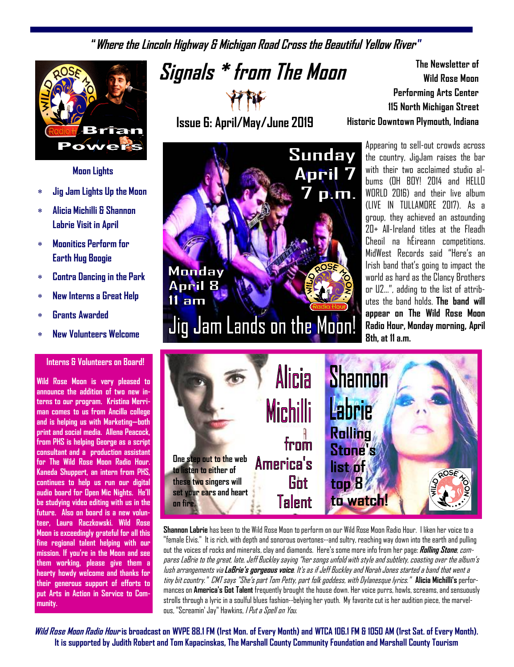**"Where the Lincoln Highway & Michigan Road Cross the Beautiful Yellow River "**



### **Moon Lights**

- **Jig Jam Lights Up the Moon**
- **Alicia Michilli & Shannon Labrie Visit in April**
- **Moonitics Perform for Earth Hug Boogie**
- **Contra Dancing in the Park**
- **New Interns a Great Help**
- **Grants Awarded**
- **New Volunteers Welcome**

#### **Interns & Volunteers on Board!**

**Wild Rose Moon is very pleased to announce the addition of two new interns to our program. Kristina Merriman comes to us from Ancilla college and is helping us with Marketing—both print and social media. Allena Peacock, from PHS is helping George as a script consultant and a production assistant for The Wild Rose Moon Radio Hour. Kaneda Shuppert, an intern from PHS, continues to help us run our digital audio board for Open Mic Nights. He'll be studying video editing with us in the future. Also on board is a new volunteer, Laura Raczkowski. Wild Rose Moon is exceedingly grateful for all this fine regional talent helping with our mission. If you're in the Moon and see them working, please give them a hearty howdy welcome and thanks for their generous support of efforts to put Arts in Action in Service to Community.**

**Signals \* from The Moon**

**Issue 6: April/May/June 2019** 



**The Newsletter of Wild Rose Moon Performing Arts Center 115 North Michigan Street Historic Downtown Plymouth, Indiana**

> Appearing to sell-out crowds across the country, JigJam raises the bar with their two acclaimed studio albums (OH BOY! 2014 and HELLO WORLD 2016) and their live album (LIVE IN TULLAMORE 2017). As a group, they achieved an astounding 20+ All-Ireland titles at the Fleadh Cheoil na hÉireann competitions. MidWest Records said "Here's an Irish band that's going to impact the world as hard as the Clancy Brothers or U2…", adding to the list of attributes the band holds. **The band will appear on The Wild Rose Moon Radio Hour, Monday morning, April 8th, at 11 a.m.**



**Shannon Labrie** has been to the Wild Rose Moon to perform on our Wild Rose Moon Radio Hour. I liken her voice to a "female Elvis." It is rich, with depth and sonorous overtones--and sultry, reaching way down into the earth and pulling out the voices of rocks and minerals, clay and diamonds. Here's some more info from her page: **Rolling Stone**, compares LaBrie to the great, late, Jeff Buckley saying "her songs unfold with style and subtlety, coasting over the album's lush arrangements via **LaBrie's gorgeous voice**. It's as if Jeff Buckley and Norah Jones started a band that went a tiny bit country." CMT says "She's part Tom Petty, part folk goddess, with Dylanesque lyrics." **Alicia Michilli's** performances on **America's Got Talent** frequently brought the house down. Her voice purrs, howls, screams, and sensuously strolls through a lyric in a soulful blues fashion--belying her youth. My favorite cut is her audition piece, the marvelous, "Screamin' Jay" Hawkins, *I Put a Spell on You*.

**Wild Rose Moon Radio Hour is broadcast on WVPE 88.1 FM (1rst Mon. of Every Month) and WTCA 106.1 FM & 1050 AM (1rst Sat. of Every Month). It is supported by Judith Robert and Tom Kapacinskas, The Marshall County Community Foundation and Marshall County Tourism**